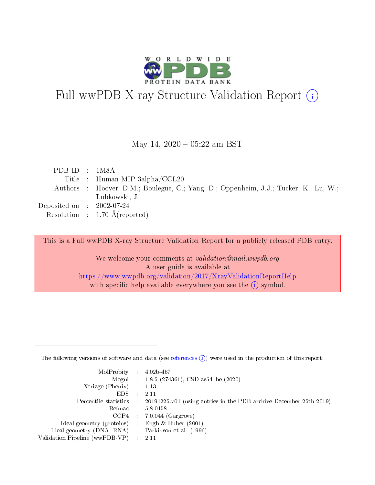

# Full wwPDB X-ray Structure Validation Report (i)

May 14,  $2020 - 05:22$  am BST

| PDBID : 1M8A                         |                                                                                      |
|--------------------------------------|--------------------------------------------------------------------------------------|
|                                      | Title : Human MIP-3alpha/CCL20                                                       |
|                                      | Authors : Hoover, D.M.; Boulegue, C.; Yang, D.; Oppenheim, J.J.; Tucker, K.; Lu, W.; |
|                                      | Lubkowski, J.                                                                        |
| Deposited on $\therefore$ 2002-07-24 |                                                                                      |
|                                      | Resolution : $1.70 \text{ Å}$ (reported)                                             |
|                                      |                                                                                      |

This is a Full wwPDB X-ray Structure Validation Report for a publicly released PDB entry.

We welcome your comments at validation@mail.wwpdb.org A user guide is available at <https://www.wwpdb.org/validation/2017/XrayValidationReportHelp> with specific help available everywhere you see the  $(i)$  symbol.

The following versions of software and data (see [references](https://www.wwpdb.org/validation/2017/XrayValidationReportHelp#references)  $(1)$ ) were used in the production of this report:

| $MolProbability$ : 4.02b-467                      |                              |                                                                                            |
|---------------------------------------------------|------------------------------|--------------------------------------------------------------------------------------------|
|                                                   |                              | Mogul : $1.8.5$ (274361), CSD as 541be (2020)                                              |
| Xtriage (Phenix) $: 1.13$                         |                              |                                                                                            |
| EDS –                                             | $\sim$                       | -2.11                                                                                      |
|                                                   |                              | Percentile statistics : 20191225.v01 (using entries in the PDB archive December 25th 2019) |
| Refmac : 5.8.0158                                 |                              |                                                                                            |
| CCP4                                              |                              | $7.0.044$ (Gargrove)                                                                       |
| Ideal geometry (proteins)                         | $\mathcal{L}_{\mathrm{eff}}$ | Engh & Huber $(2001)$                                                                      |
| Ideal geometry (DNA, RNA) Parkinson et al. (1996) |                              |                                                                                            |
| Validation Pipeline (wwPDB-VP) : 2.11             |                              |                                                                                            |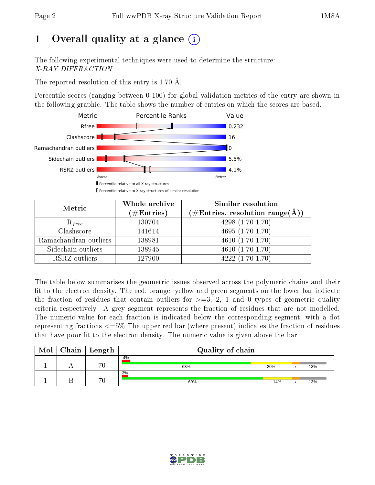# 1 [O](https://www.wwpdb.org/validation/2017/XrayValidationReportHelp#overall_quality)verall quality at a glance  $(i)$

The following experimental techniques were used to determine the structure: X-RAY DIFFRACTION

The reported resolution of this entry is 1.70 Å.

Percentile scores (ranging between 0-100) for global validation metrics of the entry are shown in the following graphic. The table shows the number of entries on which the scores are based.



| Metric                | Whole archive<br>$(\#\text{Entries})$ | Similar resolution<br>(#Entries, resolution range(Å)) |  |  |
|-----------------------|---------------------------------------|-------------------------------------------------------|--|--|
| $R_{free}$            | 130704                                | $4298(1.70-1.70)$                                     |  |  |
| Clashscore            | 141614                                | $4695(1.70-1.70)$                                     |  |  |
| Ramachandran outliers | 138981                                | $4610(1.70-1.70)$                                     |  |  |
| Sidechain outliers    | 138945                                | $4610(1.70-1.70)$                                     |  |  |
| RSRZ outliers         | 127900                                | $4222(1.70-1.70)$                                     |  |  |

The table below summarises the geometric issues observed across the polymeric chains and their fit to the electron density. The red, orange, yellow and green segments on the lower bar indicate the fraction of residues that contain outliers for  $>=3, 2, 1$  and 0 types of geometric quality criteria respectively. A grey segment represents the fraction of residues that are not modelled. The numeric value for each fraction is indicated below the corresponding segment, with a dot representing fractions  $\epsilon=5\%$  The upper red bar (where present) indicates the fraction of residues that have poor fit to the electron density. The numeric value is given above the bar.

| Mol | ${\rm Chain \mid Length}$ | Quality of chain |     |  |     |  |
|-----|---------------------------|------------------|-----|--|-----|--|
|     | 70                        | 4%<br>63%        | 20% |  | 13% |  |
|     | 70                        | 3%<br>69%        | 14% |  | 13% |  |

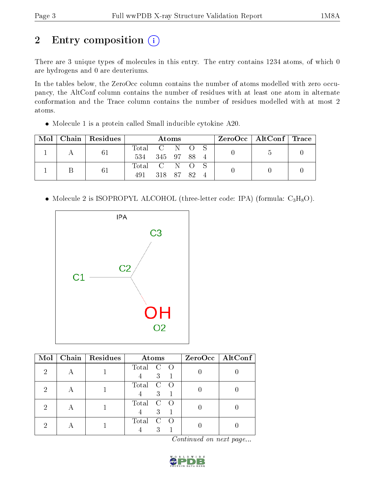# 2 Entry composition (i)

There are 3 unique types of molecules in this entry. The entry contains 1234 atoms, of which 0 are hydrogens and 0 are deuteriums.

In the tables below, the ZeroOcc column contains the number of atoms modelled with zero occupancy, the AltConf column contains the number of residues with at least one atom in alternate conformation and the Trace column contains the number of residues modelled with at most 2 atoms.

Molecule 1 is a protein called Small inducible cytokine A20.

| Mol |  | $\perp$ Chain   Residues | Atoms           |           |  |  |  |  | $\text{ZeroOcc} \mid \text{AltConf} \mid \text{Trace}$ |  |
|-----|--|--------------------------|-----------------|-----------|--|--|--|--|--------------------------------------------------------|--|
|     |  | 61                       | Total C N O S   |           |  |  |  |  |                                                        |  |
|     |  |                          | 534 345 97 88 4 |           |  |  |  |  |                                                        |  |
|     |  | 61                       | Total C N O S   |           |  |  |  |  |                                                        |  |
|     |  |                          | 491             | 318 87 82 |  |  |  |  |                                                        |  |

• Molecule 2 is ISOPROPYL ALCOHOL (three-letter code: IPA) (formula:  $C_3H_8O$ ).



| Mol | Chain   Residues | Atoms                                   | ZeroOcc   AltConf |
|-----|------------------|-----------------------------------------|-------------------|
| 2   |                  | Total<br>$\circ$ O<br>3                 |                   |
| 2   |                  | Total<br>$\rm C$<br>$\overline{O}$<br>3 |                   |
| 2   |                  | Total<br>$\mathbf C$<br>$\cap$<br>3     |                   |
| ٠,  |                  | Total<br>3                              |                   |

Continued on next page...

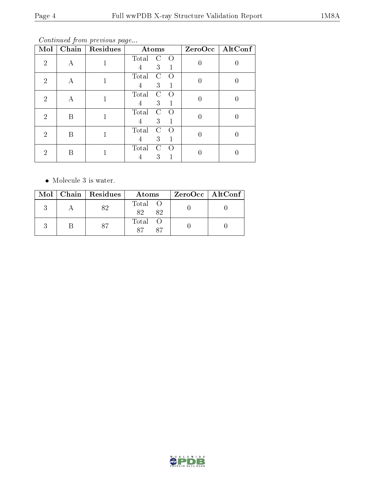Continued from previous page...

| Mol                         | Chain | Residues | Atoms                                 | ZeroOcc          | AltConf |
|-----------------------------|-------|----------|---------------------------------------|------------------|---------|
| $\mathcal{D}$               | А     |          | Total<br>$\Omega$<br>C<br>3<br>1<br>4 | $\overline{0}$   |         |
| $\mathcal{D}_{\mathcal{L}}$ | А     |          | Total<br>C<br>$\Omega$<br>3<br>1<br>4 | 0                | U       |
| $\mathcal{D}_{\mathcal{L}}$ | А     |          | Total<br>C<br>Ω<br>3<br>1<br>4        | 0                |         |
| $\mathcal{D}_{\mathcal{L}}$ | Β     |          | Total<br>C<br>$\Omega$<br>3<br>4<br>1 | 0                |         |
| $\mathcal{D}_{\mathcal{L}}$ | Β     |          | Total<br>C<br>Ω<br>3<br>1<br>4        | $\left( \right)$ | U       |
| 2                           | B     |          | Total<br>C<br>$\left( \right)$<br>3   |                  |         |

• Molecule 3 is water.

|  | $Mol$   Chain   Residues | Atoms               | ZeroOcc   AltConf |
|--|--------------------------|---------------------|-------------------|
|  |                          | Total O<br>82<br>82 |                   |
|  | 87                       | Total O<br>87<br>87 |                   |

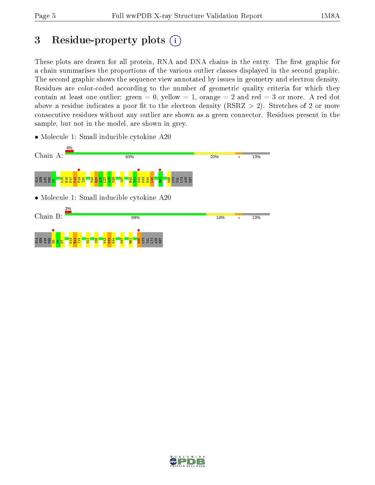## 3 Residue-property plots  $(i)$

These plots are drawn for all protein, RNA and DNA chains in the entry. The first graphic for a chain summarises the proportions of the various outlier classes displayed in the second graphic. The second graphic shows the sequence view annotated by issues in geometry and electron density. Residues are color-coded according to the number of geometric quality criteria for which they contain at least one outlier: green  $= 0$ , yellow  $= 1$ , orange  $= 2$  and red  $= 3$  or more. A red dot above a residue indicates a poor fit to the electron density (RSRZ  $> 2$ ). Stretches of 2 or more consecutive residues without any outlier are shown as a green connector. Residues present in the sample, but not in the model, are shown in grey.



• Molecule 1: Small inducible cytokine A20

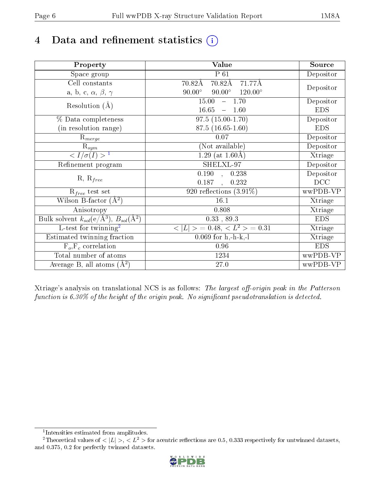# 4 Data and refinement statistics  $(i)$

| Property                                                             | Value                                              | Source     |
|----------------------------------------------------------------------|----------------------------------------------------|------------|
| Space group                                                          | $P_61$                                             | Depositor  |
| Cell constants                                                       | $70.82\text{\AA}$<br>$70.82\text{\AA}$<br>71.77Å   |            |
| a, b, c, $\alpha$ , $\beta$ , $\gamma$                               | $90.00^\circ$<br>$90.00^\circ$<br>$120.00^{\circ}$ | Depositor  |
| Resolution $(A)$                                                     | 15.00<br>$-1.70$                                   | Depositor  |
|                                                                      | 16.65<br>$-1.60$                                   | <b>EDS</b> |
| % Data completeness                                                  | $97.5(15.00-1.70)$                                 | Depositor  |
| (in resolution range)                                                | $87.5(16.65-1.60)$                                 | <b>EDS</b> |
| $R_{merge}$                                                          | 0.07                                               | Depositor  |
| $\mathrm{R}_{sym}$                                                   | (Not available)                                    | Depositor  |
| $\sqrt{I/\sigma}(I) > 1$                                             | 1.29 (at $1.60\text{\AA}$ )                        | Xtriage    |
| Refinement program                                                   | SHELXL-97                                          | Depositor  |
| $R, R_{free}$                                                        | $\overline{0.190}$ ,<br>0.238                      | Depositor  |
|                                                                      | 0.187<br>0.232                                     | DCC        |
| $R_{free}$ test set                                                  | 920 reflections $(3.91\%)$                         | wwPDB-VP   |
| Wilson B-factor $(A^2)$                                              | 16.1                                               | Xtriage    |
| Anisotropy                                                           | 0.808                                              | Xtriage    |
| Bulk solvent $k_{sol}(e/\mathring{A}^3)$ , $B_{sol}(\mathring{A}^2)$ | $0.33$ , $89.3$                                    | <b>EDS</b> |
| L-test for twinning <sup>2</sup>                                     | $>$ = 0.48, < $L^2$ > = 0.31<br>< L                | Xtriage    |
| Estimated twinning fraction                                          | $0.069$ for h,-h-k,-l                              | Xtriage    |
| $F_o, F_c$ correlation                                               | 0.96                                               | <b>EDS</b> |
| Total number of atoms                                                | 1234                                               | wwPDB-VP   |
| Average B, all atoms $(A^2)$                                         | $27.0\,$                                           | wwPDB-VP   |

Xtriage's analysis on translational NCS is as follows: The largest off-origin peak in the Patterson function is  $6.30\%$  of the height of the origin peak. No significant pseudotranslation is detected.

<sup>&</sup>lt;sup>2</sup>Theoretical values of  $\langle |L| \rangle$ ,  $\langle L^2 \rangle$  for acentric reflections are 0.5, 0.333 respectively for untwinned datasets, and 0.375, 0.2 for perfectly twinned datasets.



<span id="page-5-1"></span><span id="page-5-0"></span><sup>1</sup> Intensities estimated from amplitudes.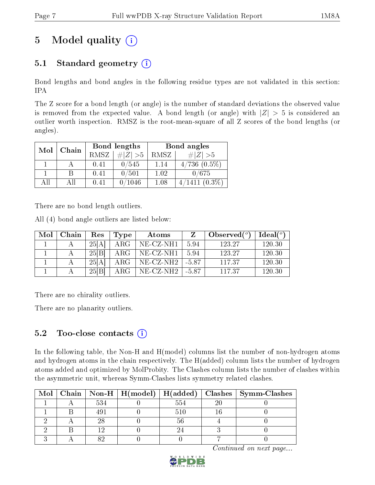# 5 Model quality  $(i)$

### 5.1 Standard geometry  $(i)$

Bond lengths and bond angles in the following residue types are not validated in this section: IPA

The Z score for a bond length (or angle) is the number of standard deviations the observed value is removed from the expected value. A bond length (or angle) with  $|Z| > 5$  is considered an outlier worth inspection. RMSZ is the root-mean-square of all Z scores of the bond lengths (or angles).

| Mol | Chain |      | Bond lengths | Bond angles |                   |  |
|-----|-------|------|--------------|-------------|-------------------|--|
|     |       | RMSZ | $\# Z  > 5$  | RMSZ        | $\# Z  > 5$       |  |
|     |       | 0.41 | 0/545        | 1.14        | $4/736$ $(0.5\%)$ |  |
|     | В     | 0.41 | 0/501        | 1.02        | 0/675             |  |
| ΑH  | ΑH    | 0.41 | 0/1046       | 1.08        | $(0.3\%)$         |  |

There are no bond length outliers.

All (4) bond angle outliers are listed below:

| Mol | Chain | Res   | Type | Atoms                    |         | Observed $(°)$ | $Ideal(^o)$ |
|-----|-------|-------|------|--------------------------|---------|----------------|-------------|
|     |       | 25[A] | ARG  | NE-CZ-NH1                | 5.94    | 123.27         | 120.30      |
|     |       | 25 B  | ARG  | NE-CZ-NH1                | 5.94    | 123.27         | 120.30      |
|     |       | 25[A] | ARG- | $NE-{\rm CZ\text{-}NH2}$ | -5.87   | 11737          | 120.30      |
|     |       | 25[B] | ARG  | $NE- CZ-NH2$             | $-5.87$ | 117.37         | 120.30      |

There are no chirality outliers.

There are no planarity outliers.

### 5.2 Too-close contacts  $(i)$

In the following table, the Non-H and H(model) columns list the number of non-hydrogen atoms and hydrogen atoms in the chain respectively. The H(added) column lists the number of hydrogen atoms added and optimized by MolProbity. The Clashes column lists the number of clashes within the asymmetric unit, whereas Symm-Clashes lists symmetry related clashes.

|  |     |     | Mol   Chain   Non-H   H(model)   H(added)   Clashes   Symm-Clashes |
|--|-----|-----|--------------------------------------------------------------------|
|  | 534 | 554 |                                                                    |
|  | 49. |     |                                                                    |
|  |     |     |                                                                    |
|  |     |     |                                                                    |
|  |     |     |                                                                    |

Continued on next page...

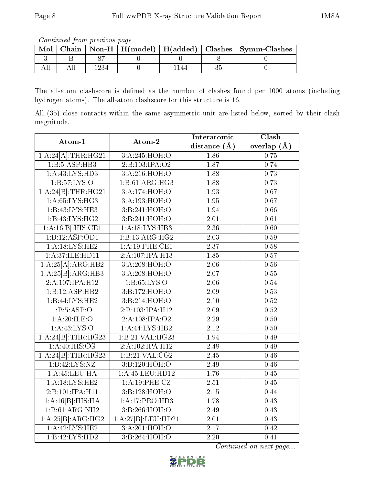Continued from previous page...

| Mol |  |  | Chain   Non-H   H(model)   H(added)   Clashes   Symm-Clashes |
|-----|--|--|--------------------------------------------------------------|
|     |  |  |                                                              |
|     |  |  |                                                              |

The all-atom clashscore is defined as the number of clashes found per 1000 atoms (including hydrogen atoms). The all-atom clashscore for this structure is 16.

All (35) close contacts within the same asymmetric unit are listed below, sorted by their clash magnitude.

| Atom-1              | Atom-2             | Interatomic       | Clash             |
|---------------------|--------------------|-------------------|-------------------|
|                     |                    | distance $(A)$    | overlap $(A)$     |
| 1:A:24[A]:THR:HG21  | 3:A:245:HOH:O      | 1.86              | 0.75              |
| 1:B:5:ASP:HB3       | 2:B:103:IPA:O2     | 1.87              | 0.74              |
| 1:A:43:LYS:HD3      | 3:A:216:HOH:O      | 1.88              | 0.73              |
| 1:B:57:LYS:O        | 1:B:61:ARG:HG3     | 1.88              | 0.73              |
| 1:A:24[B]:THR:HG21  | 3:A:174:HOH:O      | 1.93              | 0.67              |
| 1: A:65:LYS:HG3     | 3:A:193:HOH:O      | 1.95              | 0.67              |
| 1:B:43:LYS:HE3      | 3:B:241:HOH:O      | 1.94              | 0.66              |
| 1:B:43:LYS:HG2      | 3: B: 241: HOH:O   | $\overline{2.01}$ | 0.61              |
| 1:A:16[B]:HIS:CE1   | 1:A:18:LYS:HB3     | 2.36              | 0.60              |
| 1:B:12:ASP:OD1      | 1:B:13:ARG:HG2     | $\overline{2.03}$ | 0.59              |
| 1: A:18:LYS:HE2     | 1:A:19:PHE:CE1     | $\overline{2.37}$ | 0.58              |
| 1:A:37:ILE:HD11     | 2:A:107:IPA:H13    | 1.85              | 0.57              |
| 1:A:25[A]:ARG:HB2   | 3:A:208:HOH:O      | $\overline{2.06}$ | 0.56              |
| 1:A:25[B]:ARG:HB3   | 3:A:208:HOH:O      | 2.07              | 0.55              |
| 2: A:107: IPA: H12  | 1: B: 65: LYS: O   | $\overline{2.06}$ | 0.54              |
| 1:B:12:ASP:HB2      | 3:B:172:HOH:O      | 2.09              | 0.53              |
| 1:B:44:LYS:HE2      | 3:B:214:HOH:O      | $\overline{2.10}$ | $\overline{0.52}$ |
| 1:B:5:ASP:O         | 2:B:103:IPA:H12    | $\overline{2.09}$ | 0.52              |
| 1:A:20:ILE:O        | 2:A:108:IPA:O2     | 2.29              | 0.50              |
| 1: A: 43: LYS: O    | 1: A:44: LYS:HB2   | 2.12              | $\overline{0.50}$ |
| 1:A:24[B]:THR:HG23  | 1:B:21:VAL:HG23    | 1.94              | 0.49              |
| 1:A:40:HIS:CG       | 2:A:102:IPA:H12    | $\overline{2.48}$ | 0.49              |
| 1:A:24[B]:THR:HG23  | 1:B:21:VAL:CG2     | $\overline{2.45}$ | $\overline{0.46}$ |
| 1: B: 42: LYS: NZ   | 3:B:120:HOH:O      | 2.49              | 0.46              |
| 1: A: 45: LEU: HA   | $1:$ A:45:LEU:HD12 | 1.76              | 0.45              |
| 1:A:18:LYS:HE2      | 1:A:19:PHE:CZ      | 2.51              | 0.45              |
| 2: B: 101: IPA: H11 | 3:B:128:HOH:O      | $\overline{2.15}$ | $\overline{0.44}$ |
| 1:A:16[B]:HIS:HA    | 1:A:17:PRO:HD3     | 1.78              | 0.43              |
| 1:B:61:ARG:NH2      | 3:Bi:266:HOH:O     | 2.49              | 0.43              |
| 1:A:25[B]:ARG:HG2   | 1:A:27[B]:LEU:HD21 | 2.01              | 0.43              |
| 1: A:42:LYS:HE2     | 3:A:201:HOH:O      | $\overline{2.17}$ | 0.42              |
| 1:B:42:LYS:HD2      | 3:Bi:264:HOH:O     | $\overline{2.20}$ | $\overline{0.41}$ |

Continued on next page...

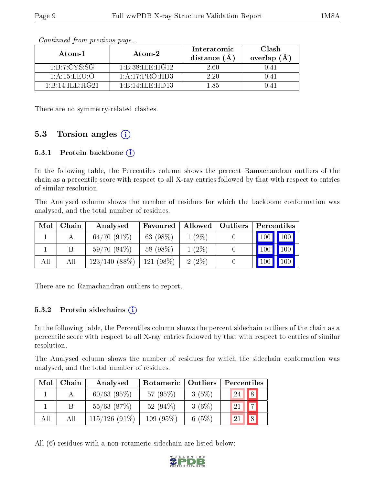| Atom-1                                        | Atom-2             | Interatomic<br>distance $(\AA)$ | <b>Clash</b><br>overlap $(\AA)$ |
|-----------------------------------------------|--------------------|---------------------------------|---------------------------------|
| 1:B:7:CYS:SG                                  | 1: B:38: ILE: HG12 | 2.60                            | 0.41                            |
| $1: A: 15:$ LEU: $O$                          | 1: A: 17: PRO: HD3 | 2.20                            | 0.41                            |
| $1 \cdot R \cdot 14 \cdot H \cdot H \cdot 14$ | 1:B:14:ILE:HD13    | l 85                            |                                 |

Continued from previous page...

There are no symmetry-related clashes.

### 5.3 Torsion angles  $(i)$

#### 5.3.1 Protein backbone (i)

In the following table, the Percentiles column shows the percent Ramachandran outliers of the chain as a percentile score with respect to all X-ray entries followed by that with respect to entries of similar resolution.

The Analysed column shows the number of residues for which the backbone conformation was analysed, and the total number of residues.

| Mol | Chain | Analysed        | Favoured    |          | Allowed   Outliers | Percentiles |                     |
|-----|-------|-----------------|-------------|----------|--------------------|-------------|---------------------|
|     |       | $64/70(91\%)$   | 63 $(98\%)$ | $1(2\%)$ |                    |             | $100$   $100$       |
|     | В     | $59/70(84\%)$   | 58 (98\%)   | $1(2\%)$ |                    |             | 100     100         |
| All | Аll   | $123/140(88\%)$ | $121(98\%)$ | $2(2\%)$ |                    | 100         | $\vert$ 100 $\vert$ |

There are no Ramachandran outliers to report.

#### $5.3.2$  Protein sidechains  $(i)$

In the following table, the Percentiles column shows the percent sidechain outliers of the chain as a percentile score with respect to all X-ray entries followed by that with respect to entries of similar resolution.

The Analysed column shows the number of residues for which the sidechain conformation was analysed, and the total number of residues.

| Mol | Chain | Analysed        | Rotameric   | Outliers | Percentiles          |
|-----|-------|-----------------|-------------|----------|----------------------|
|     |       | $60/63$ (95%)   | 57(95%)     | 3(5%)    | 8<br>24              |
|     |       | $55/63$ $(87%)$ | 52 $(94\%)$ | $3(6\%)$ | $\overline{ }$<br>21 |
| All | АH    | $115/126(91\%)$ | $109(95\%)$ | 6 $(5%)$ | -21                  |

All (6) residues with a non-rotameric sidechain are listed below:

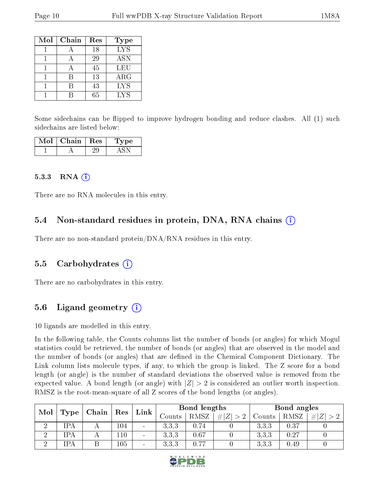| Mol | Chain | Res | Type       |
|-----|-------|-----|------------|
|     |       | 18  | LYS        |
|     |       | 29  | <b>ASN</b> |
|     |       | 45  | LEU        |
|     |       | 13  | ARG        |
|     |       | 43  | <b>LYS</b> |
|     |       | 65  | <b>LYS</b> |

Some sidechains can be flipped to improve hydrogen bonding and reduce clashes. All (1) such sidechains are listed below:

| Mol | Chain | Res | vpe |
|-----|-------|-----|-----|
|     |       |     |     |

#### 5.3.3 RNA  $(i)$

There are no RNA molecules in this entry.

#### 5.4 Non-standard residues in protein, DNA, RNA chains  $(i)$

There are no non-standard protein/DNA/RNA residues in this entry.

#### 5.5 Carbohydrates  $(i)$

There are no carbohydrates in this entry.

### 5.6 Ligand geometry  $(i)$

10 ligands are modelled in this entry.

In the following table, the Counts columns list the number of bonds (or angles) for which Mogul statistics could be retrieved, the number of bonds (or angles) that are observed in the model and the number of bonds (or angles) that are defined in the Chemical Component Dictionary. The Link column lists molecule types, if any, to which the group is linked. The Z score for a bond length (or angle) is the number of standard deviations the observed value is removed from the expected value. A bond length (or angle) with  $|Z| > 2$  is considered an outlier worth inspection. RMSZ is the root-mean-square of all Z scores of the bond lengths (or angles).

| Mol      | Type | Chain | $\operatorname{Res}$ | Link   |        | Bond lengths |                     |        | Bond angles |  |  |
|----------|------|-------|----------------------|--------|--------|--------------|---------------------|--------|-------------|--|--|
|          |      |       |                      |        | Jounts | RMSZ         | $\# Z $<br>$\sim$ 0 | Counts | RMSZ        |  |  |
|          | íPA  |       | $104\,$              | $\sim$ | 3.3.3  | 0.74         |                     | 3.3.3  | 0.37        |  |  |
| $\Omega$ | IPA  |       | 110                  | $\sim$ | 3.3.3  | 0.67         |                     | 3,3,3  | 0.27        |  |  |
| ച        | IPA  |       | 105                  | $\sim$ | 3.3.3  | 0.77         |                     | 3,3,3  | 0.49        |  |  |

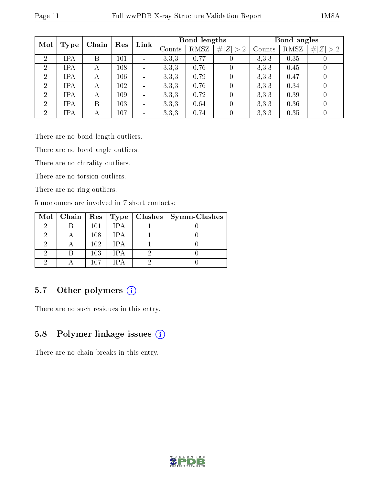|                | Mol<br>Chain<br>Type |   | Res | Link                     | Bond lengths |      |                  | Bond angles |      |                  |
|----------------|----------------------|---|-----|--------------------------|--------------|------|------------------|-------------|------|------------------|
|                |                      |   |     |                          | Counts       | RMSZ | # $ Z  > 2$      | Counts      | RMSZ | # <br> Z >2      |
| $\overline{2}$ | <b>IPA</b>           | Β | 101 | $\blacksquare$           | 3.3.3        | 0.77 | 0                | 3,3,3       | 0.35 | U                |
| $\overline{2}$ | <b>IPA</b>           | А | 108 | $\blacksquare$           | 3,3,3        | 0.76 | $\theta$         | 3,3,3       | 0.45 | $\theta$         |
| $\overline{2}$ | <b>IPA</b>           | А | 106 | $\blacksquare$           | 3.3.3        | 0.79 | $\theta$         | 3,3,3       | 0.47 | $\boldsymbol{0}$ |
| $\overline{2}$ | <b>IPA</b>           | А | 102 | $\overline{\phantom{a}}$ | 3.3.3        | 0.76 | $\left( \right)$ | 3,3,3       | 0.34 | $\left( \right)$ |
| $\overline{2}$ | <b>IPA</b>           | А | 109 | $\blacksquare$           | 3.3.3        | 0.72 | $\theta$         | 3,3,3       | 0.39 | $\theta$         |
| $\overline{2}$ | <b>IPA</b>           | B | 103 | $\sim$                   | 3.3.3        | 0.64 | $\Omega$         | 3.3.3       | 0.36 | $\left( \right)$ |
| $\overline{2}$ | <b>IPA</b>           | A | 107 | $\blacksquare$           | 3,3,3        | 0.74 | $\left( \right)$ | 3,3,3       | 0.35 | $\left( \right)$ |

There are no bond length outliers.

There are no bond angle outliers.

There are no chirality outliers.

There are no torsion outliers.

There are no ring outliers.

5 monomers are involved in 7 short contacts:

|  |     |        | Mol   Chain   Res   Type   Clashes | $\mid$ Symm-Clashes |
|--|-----|--------|------------------------------------|---------------------|
|  | 101 | IP A   |                                    |                     |
|  | 108 | IP A   |                                    |                     |
|  | 102 | IP A   |                                    |                     |
|  | 103 | IPA    |                                    |                     |
|  | 107 | $1P_A$ |                                    |                     |

### 5.7 [O](https://www.wwpdb.org/validation/2017/XrayValidationReportHelp#nonstandard_residues_and_ligands)ther polymers (i)

There are no such residues in this entry.

### 5.8 Polymer linkage issues  $(i)$

There are no chain breaks in this entry.

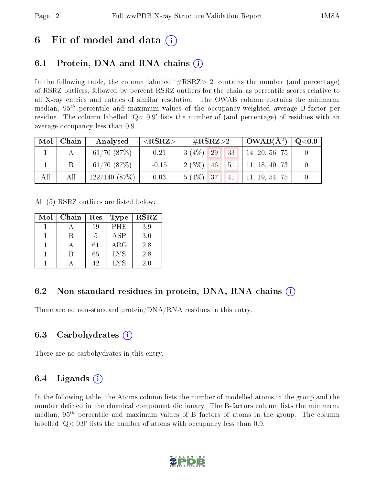## 6 Fit of model and data  $\left( \cdot \right)$

### 6.1 Protein, DNA and RNA chains (i)

In the following table, the column labelled  $#RSRZ>2'$  contains the number (and percentage) of RSRZ outliers, followed by percent RSRZ outliers for the chain as percentile scores relative to all X-ray entries and entries of similar resolution. The OWAB column contains the minimum, median,  $95<sup>th</sup>$  percentile and maximum values of the occupancy-weighted average B-factor per residue. The column labelled  $Q< 0.9$  lists the number of (and percentage) of residues with an average occupancy less than 0.9.

| Mol | Chain | Analysed         | ${ <\hspace{-1.5pt}{\mathrm{RSRZ}} \hspace{-1.5pt}>}$ | $\#\text{RSRZ}{>}2$              | $\mid$ OWAB( $\rm \AA^2) \mid$ | $^+$ Q<0.9 $^+$ |
|-----|-------|------------------|-------------------------------------------------------|----------------------------------|--------------------------------|-----------------|
|     |       | $61/70$ $(87%)$  | 0.21                                                  | 33 <br>$3(4\%)$<br><sup>29</sup> | 14, 20, 56, 75                 |                 |
|     | B     | $61/70$ $(87%)$  | $-0.15$                                               | $2(3\%)$ 46 51                   | 11, 18, 40, 73                 |                 |
| All | Аll   | $122/140$ (87\%) | 0.03                                                  | $5(4\%)$ 37 41                   | $\vert$ 11, 19, 54, 75         |                 |

All (5) RSRZ outliers are listed below:

| Mol | Chain | Res | <b>Type</b> | <b>RSRZ</b> |
|-----|-------|-----|-------------|-------------|
|     |       | 19  | PHE         | 3.9         |
|     |       | 5   | ASP         | 3.0         |
|     |       | 61  | $\rm{ARG}$  | 2.8         |
|     |       | 65  | <b>LYS</b>  | 2.8         |
|     |       | 42  | LYS         | 2.0         |

### 6.2 Non-standard residues in protein, DNA, RNA chains  $(i)$

There are no non-standard protein/DNA/RNA residues in this entry.

### 6.3 Carbohydrates (i)

There are no carbohydrates in this entry.

### 6.4 Ligands  $(i)$

In the following table, the Atoms column lists the number of modelled atoms in the group and the number defined in the chemical component dictionary. The B-factors column lists the minimum, median,  $95<sup>th</sup>$  percentile and maximum values of B factors of atoms in the group. The column labelled  $Q< 0.9$  lists the number of atoms with occupancy less than 0.9.